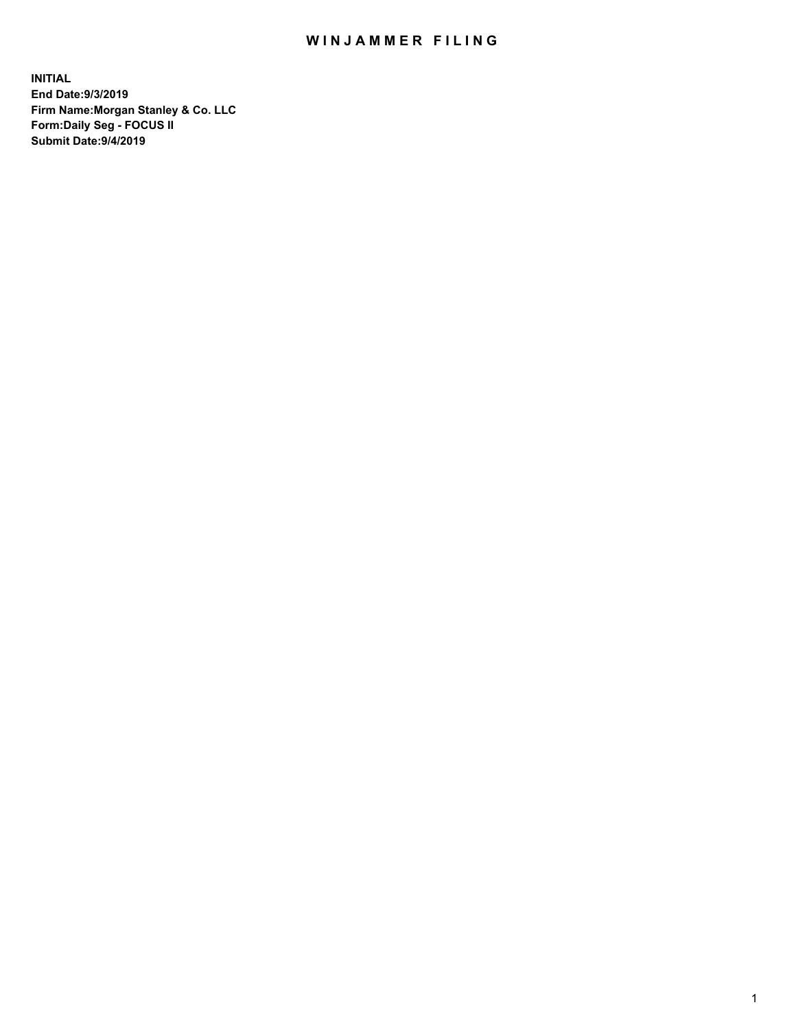## WIN JAMMER FILING

**INITIAL End Date:9/3/2019 Firm Name:Morgan Stanley & Co. LLC Form:Daily Seg - FOCUS II Submit Date:9/4/2019**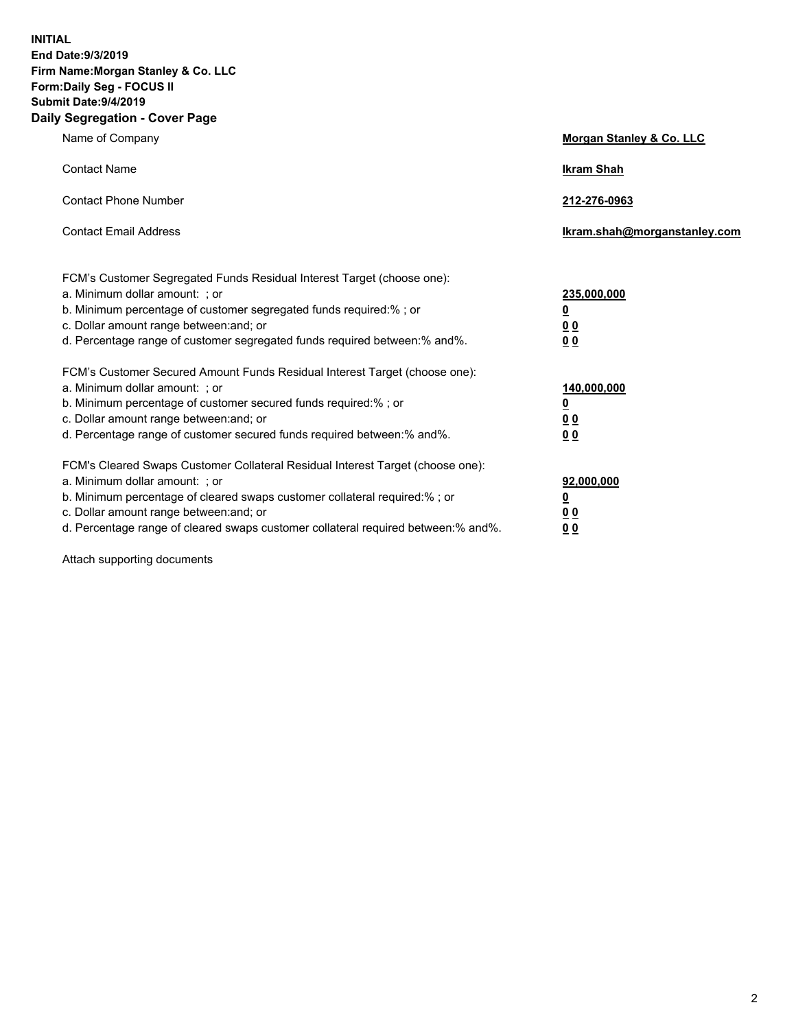**INITIAL End Date:9/3/2019 Firm Name:Morgan Stanley & Co. LLC Form:Daily Seg - FOCUS II Submit Date:9/4/2019 Daily Segregation - Cover Page**

| Name of Company                                                                                                                                                                                                                                                                                                                | Morgan Stanley & Co. LLC                               |
|--------------------------------------------------------------------------------------------------------------------------------------------------------------------------------------------------------------------------------------------------------------------------------------------------------------------------------|--------------------------------------------------------|
| <b>Contact Name</b>                                                                                                                                                                                                                                                                                                            | <b>Ikram Shah</b>                                      |
| <b>Contact Phone Number</b>                                                                                                                                                                                                                                                                                                    | 212-276-0963                                           |
| <b>Contact Email Address</b>                                                                                                                                                                                                                                                                                                   | Ikram.shah@morganstanley.com                           |
| FCM's Customer Segregated Funds Residual Interest Target (choose one):<br>a. Minimum dollar amount: ; or<br>b. Minimum percentage of customer segregated funds required:% ; or<br>c. Dollar amount range between: and; or<br>d. Percentage range of customer segregated funds required between:% and%.                         | 235,000,000<br><u>0</u><br>0 <sub>0</sub><br>00        |
| FCM's Customer Secured Amount Funds Residual Interest Target (choose one):<br>a. Minimum dollar amount: ; or<br>b. Minimum percentage of customer secured funds required:% ; or<br>c. Dollar amount range between: and; or<br>d. Percentage range of customer secured funds required between:% and%.                           | 140,000,000<br><u>0</u><br><u>00</u><br>0 <sub>0</sub> |
| FCM's Cleared Swaps Customer Collateral Residual Interest Target (choose one):<br>a. Minimum dollar amount: ; or<br>b. Minimum percentage of cleared swaps customer collateral required:% ; or<br>c. Dollar amount range between: and; or<br>d. Percentage range of cleared swaps customer collateral required between:% and%. | 92,000,000<br><u>0</u><br>0 Q<br>0 <sub>0</sub>        |

Attach supporting documents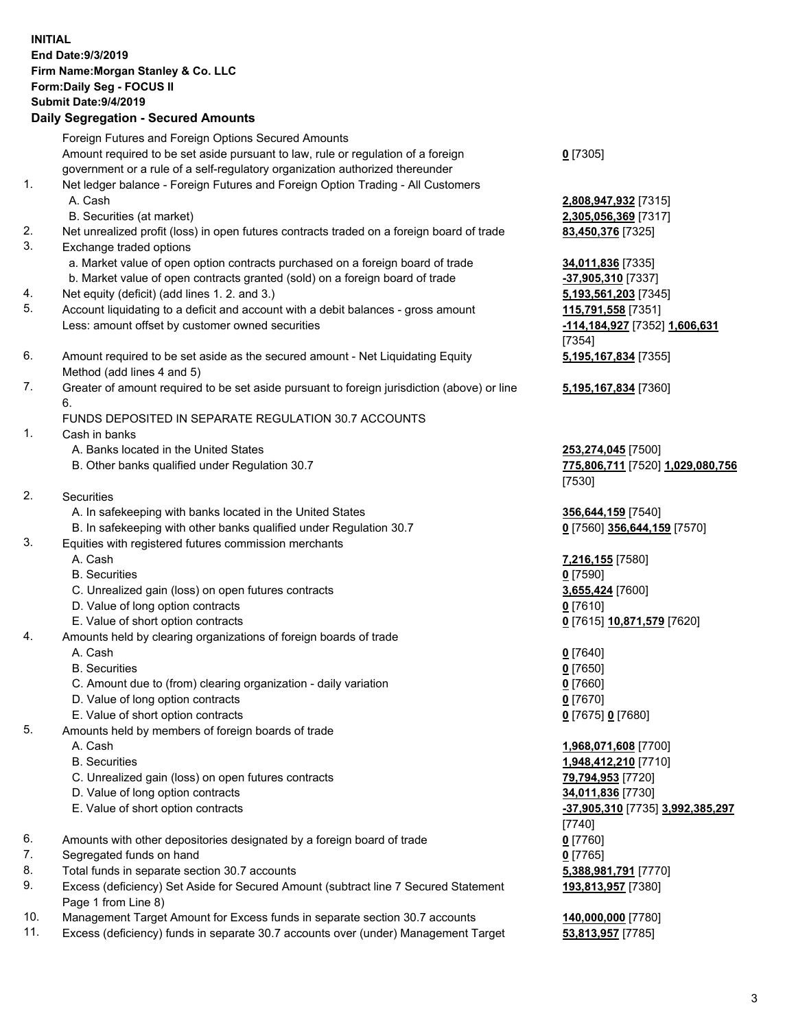|    | <b>INITIAL</b><br>End Date: 9/3/2019<br>Firm Name: Morgan Stanley & Co. LLC<br>Form: Daily Seg - FOCUS II<br>Submit Date: 9/4/2019<br><b>Daily Segregation - Secured Amounts</b> |                                              |
|----|----------------------------------------------------------------------------------------------------------------------------------------------------------------------------------|----------------------------------------------|
|    | Foreign Futures and Foreign Options Secured Amounts                                                                                                                              |                                              |
|    | Amount required to be set aside pursuant to law, rule or regulation of a foreign                                                                                                 | $0$ [7305]                                   |
|    | government or a rule of a self-regulatory organization authorized thereunder                                                                                                     |                                              |
| 1. | Net ledger balance - Foreign Futures and Foreign Option Trading - All Customers<br>A. Cash                                                                                       |                                              |
|    | B. Securities (at market)                                                                                                                                                        | 2,808,947,932 [7315]<br>2,305,056,369 [7317] |
| 2. | Net unrealized profit (loss) in open futures contracts traded on a foreign board of trade                                                                                        | 83,450,376 [7325]                            |
| 3. | Exchange traded options                                                                                                                                                          |                                              |
|    | a. Market value of open option contracts purchased on a foreign board of trade                                                                                                   | 34,011,836 [7335]                            |
|    | b. Market value of open contracts granted (sold) on a foreign board of trade                                                                                                     | $-37,905,310$ [7337]                         |
| 4. | Net equity (deficit) (add lines 1.2. and 3.)                                                                                                                                     | 5,193,561,203 [7345]                         |
| 5. | Account liquidating to a deficit and account with a debit balances - gross amount                                                                                                | 115,791,558 [7351]                           |
|    | Less: amount offset by customer owned securities                                                                                                                                 | -114,184,927 [7352] 1,606,631                |
|    |                                                                                                                                                                                  | [7354]                                       |
| 6. | Amount required to be set aside as the secured amount - Net Liquidating Equity                                                                                                   | 5,195,167,834 [7355]                         |
| 7. | Method (add lines 4 and 5)                                                                                                                                                       |                                              |
|    | Greater of amount required to be set aside pursuant to foreign jurisdiction (above) or line<br>6.                                                                                | 5,195,167,834 [7360]                         |
|    | FUNDS DEPOSITED IN SEPARATE REGULATION 30.7 ACCOUNTS                                                                                                                             |                                              |
| 1. | Cash in banks                                                                                                                                                                    |                                              |
|    | A. Banks located in the United States                                                                                                                                            | 253,274,045 [7500]                           |
|    | B. Other banks qualified under Regulation 30.7                                                                                                                                   | 775,806,711 [7520] 1,029,080,756             |
|    |                                                                                                                                                                                  | [7530]                                       |
| 2. | Securities                                                                                                                                                                       |                                              |
|    | A. In safekeeping with banks located in the United States                                                                                                                        | 356,644,159 [7540]                           |
|    | B. In safekeeping with other banks qualified under Regulation 30.7                                                                                                               | 0 [7560] 356,644,159 [7570]                  |
| 3. | Equities with registered futures commission merchants<br>A. Cash                                                                                                                 |                                              |
|    | <b>B.</b> Securities                                                                                                                                                             | 7,216,155 [7580]<br>$0$ [7590]               |
|    | C. Unrealized gain (loss) on open futures contracts                                                                                                                              | 3,655,424 [7600]                             |
|    | D. Value of long option contracts                                                                                                                                                | <u>0</u> [7610]                              |
|    | E. Value of short option contracts                                                                                                                                               | <u>0</u> [7615] <u>10,871,579</u> [7620]     |
| 4. | Amounts held by clearing organizations of foreign boards of trade                                                                                                                |                                              |
|    | A. Cash                                                                                                                                                                          | $0$ [7640]                                   |
|    | <b>B.</b> Securities                                                                                                                                                             | $0$ [7650]                                   |
|    | C. Amount due to (from) clearing organization - daily variation                                                                                                                  | $0$ [7660]                                   |
|    | D. Value of long option contracts                                                                                                                                                | $0$ [7670]                                   |
| 5. | E. Value of short option contracts<br>Amounts held by members of foreign boards of trade                                                                                         | 0 [7675] 0 [7680]                            |
|    | A. Cash                                                                                                                                                                          | 1,968,071,608 [7700]                         |
|    | <b>B.</b> Securities                                                                                                                                                             | 1,948,412,210 [7710]                         |
|    | C. Unrealized gain (loss) on open futures contracts                                                                                                                              | 79,794,953 [7720]                            |
|    | D. Value of long option contracts                                                                                                                                                | 34,011,836 [7730]                            |
|    | E. Value of short option contracts                                                                                                                                               | -37,905,310 [7735] 3,992,385,297             |
|    |                                                                                                                                                                                  | [7740]                                       |
| 6. | Amounts with other depositories designated by a foreign board of trade                                                                                                           | $0$ [7760]                                   |
| 7. | Segregated funds on hand                                                                                                                                                         | $0$ [7765]                                   |
| 8. | Total funds in separate section 30.7 accounts                                                                                                                                    | 5,388,981,791 [7770]                         |
| 9. | Excess (deficiency) Set Aside for Secured Amount (subtract line 7 Secured Statement<br>Page 1 from Line 8)                                                                       | 193,813,957 [7380]                           |

- 10. Management Target Amount for Excess funds in separate section 30.7 accounts **140,000,000** [7780]
- 11. Excess (deficiency) funds in separate 30.7 accounts over (under) Management Target **53,813,957** [7785]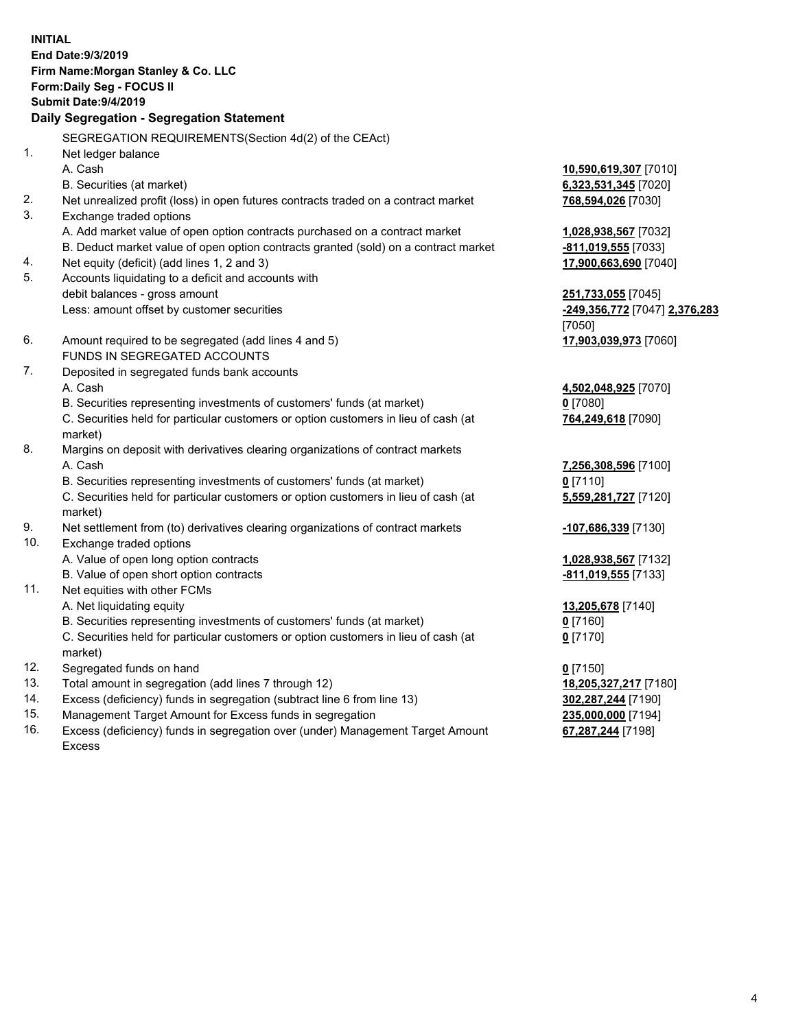**INITIAL End Date:9/3/2019 Firm Name:Morgan Stanley & Co. LLC Form:Daily Seg - FOCUS II Submit Date:9/4/2019 Daily Segregation - Segregation Statement** SEGREGATION REQUIREMENTS(Section 4d(2) of the CEAct) 1. Net ledger balance A. Cash **10,590,619,307** [7010] B. Securities (at market) **6,323,531,345** [7020] 2. Net unrealized profit (loss) in open futures contracts traded on a contract market **768,594,026** [7030] 3. Exchange traded options A. Add market value of open option contracts purchased on a contract market **1,028,938,567** [7032] B. Deduct market value of open option contracts granted (sold) on a contract market **-811,019,555** [7033] 4. Net equity (deficit) (add lines 1, 2 and 3) **17,900,663,690** [7040] 5. Accounts liquidating to a deficit and accounts with debit balances - gross amount **251,733,055** [7045] Less: amount offset by customer securities **-249,356,772** [7047] **2,376,283** [7050] 6. Amount required to be segregated (add lines 4 and 5) **17,903,039,973** [7060] FUNDS IN SEGREGATED ACCOUNTS 7. Deposited in segregated funds bank accounts A. Cash **4,502,048,925** [7070] B. Securities representing investments of customers' funds (at market) **0** [7080] C. Securities held for particular customers or option customers in lieu of cash (at market) **764,249,618** [7090] 8. Margins on deposit with derivatives clearing organizations of contract markets A. Cash **7,256,308,596** [7100] B. Securities representing investments of customers' funds (at market) **0** [7110] C. Securities held for particular customers or option customers in lieu of cash (at market) **5,559,281,727** [7120] 9. Net settlement from (to) derivatives clearing organizations of contract markets **-107,686,339** [7130] 10. Exchange traded options A. Value of open long option contracts **1,028,938,567** [7132] B. Value of open short option contracts **-811,019,555** [7133] 11. Net equities with other FCMs A. Net liquidating equity **13,205,678** [7140] B. Securities representing investments of customers' funds (at market) **0** [7160] C. Securities held for particular customers or option customers in lieu of cash (at market) **0** [7170] 12. Segregated funds on hand **0** [7150] 13. Total amount in segregation (add lines 7 through 12) **18,205,327,217** [7180] 14. Excess (deficiency) funds in segregation (subtract line 6 from line 13) **302,287,244** [7190] 15. Management Target Amount for Excess funds in segregation **235,000,000** [7194]

16. Excess (deficiency) funds in segregation over (under) Management Target Amount Excess

**67,287,244** [7198]